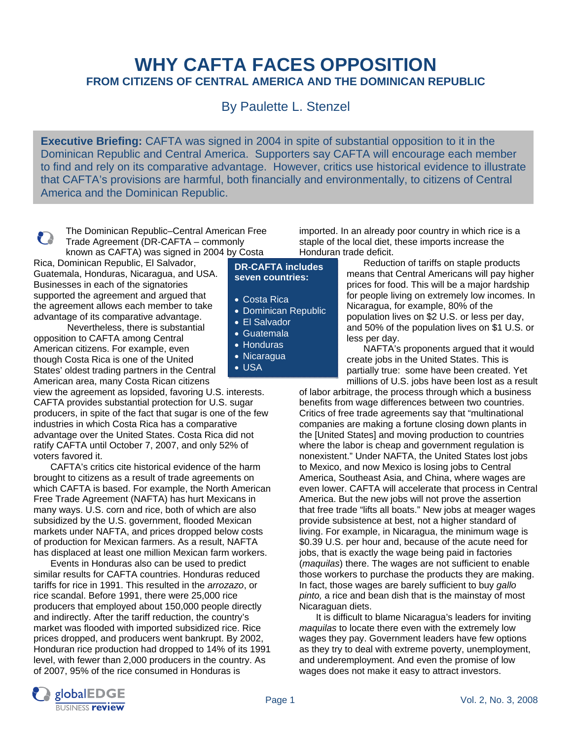# **WHY CAFTA FACES OPPOSITION FROM CITIZENS OF CENTRAL AMERICA AND THE DOMINICAN REPUBLIC**

## By Paulette L. Stenzel

**Executive Briefing:** CAFTA was signed in 2004 in spite of substantial opposition to it in the Dominican Republic and Central America. Supporters say CAFTA will encourage each member to find and rely on its comparative advantage. However, critics use historical evidence to illustrate that CAFTA's provisions are harmful, both financially and environmentally, to citizens of Central America and the Dominican Republic.

The Dominican Republic–Central American Free P Trade Agreement (DR-CAFTA – commonly known as CAFTA) was signed in 2004 by Costa

Rica, Dominican Republic, El Salvador, Guatemala, Honduras, Nicaragua, and USA. Businesses in each of the signatories supported the agreement and argued that the agreement allows each member to take advantage of its comparative advantage.

Nevertheless, there is substantial opposition to CAFTA among Central American citizens. For example, even though Costa Rica is one of the United States' oldest trading partners in the Central American area, many Costa Rican citizens

view the agreement as lopsided, favoring U.S. interests. CAFTA provides substantial protection for U.S. sugar producers, in spite of the fact that sugar is one of the few industries in which Costa Rica has a comparative advantage over the United States. Costa Rica did not ratify CAFTA until October 7, 2007, and only 52% of voters favored it.

 CAFTA's critics cite historical evidence of the harm brought to citizens as a result of trade agreements on which CAFTA is based. For example, the North American Free Trade Agreement (NAFTA) has hurt Mexicans in many ways. U.S. corn and rice, both of which are also subsidized by the U.S. government, flooded Mexican markets under NAFTA, and prices dropped below costs of production for Mexican farmers. As a result, NAFTA has displaced at least one million Mexican farm workers.

Events in Honduras also can be used to predict similar results for CAFTA countries. Honduras reduced tariffs for rice in 1991. This resulted in the *arrozazo*, or rice scandal. Before 1991, there were 25,000 rice producers that employed about 150,000 people directly and indirectly. After the tariff reduction, the country's market was flooded with imported subsidized rice. Rice prices dropped, and producers went bankrupt. By 2002, Honduran rice production had dropped to 14% of its 1991 level, with fewer than 2,000 producers in the country. As of 2007, 95% of the rice consumed in Honduras is

## **DR-CAFTA includes seven countries:**

- Costa Rica
- Dominican Republic
- El Salvador
- Guatemala
- Honduras
	- Nicaragua
- USA

imported. In an already poor country in which rice is a staple of the local diet, these imports increase the Honduran trade deficit.

> Reduction of tariffs on staple products means that Central Americans will pay higher prices for food. This will be a major hardship for people living on extremely low incomes. In Nicaragua, for example, 80% of the population lives on \$2 U.S. or less per day, and 50% of the population lives on \$1 U.S. or less per day.

 NAFTA's proponents argued that it would create jobs in the United States. This is partially true: some have been created. Yet millions of U.S. jobs have been lost as a result

of labor arbitrage, the process through which a business benefits from wage differences between two countries. Critics of free trade agreements say that "multinational companies are making a fortune closing down plants in the [United States] and moving production to countries where the labor is cheap and government regulation is nonexistent." Under NAFTA, the United States lost jobs to Mexico, and now Mexico is losing jobs to Central America, Southeast Asia, and China, where wages are even lower. CAFTA will accelerate that process in Central America. But the new jobs will not prove the assertion that free trade "lifts all boats." New jobs at meager wages provide subsistence at best, not a higher standard of living. For example, in Nicaragua, the minimum wage is \$0.39 U.S. per hour and, because of the acute need for jobs, that is exactly the wage being paid in factories (*maquilas*) there. The wages are not sufficient to enable those workers to purchase the products they are making. In fact, those wages are barely sufficient to buy *gallo pinto,* a rice and bean dish that is the mainstay of most Nicaraguan diets.

It is difficult to blame Nicaragua's leaders for inviting *maquilas* to locate there even with the extremely low wages they pay. Government leaders have few options as they try to deal with extreme poverty, unemployment, and underemployment. And even the promise of low wages does not make it easy to attract investors.